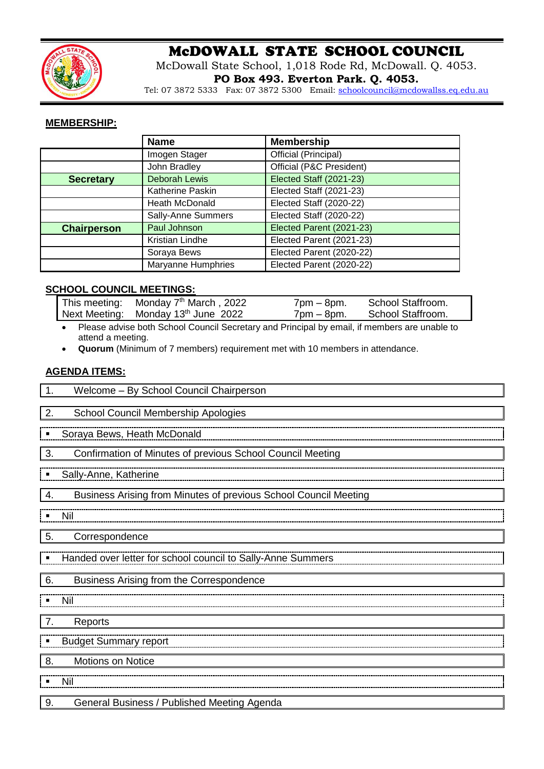

# McDOWALL STATE SCHOOL COUNCIL

McDowall State School, 1,018 Rode Rd, McDowall. Q. 4053. **PO Box 493. Everton Park. Q. 4053.**

Tel: 07 3872 5333 Fax: 07 3872 5300 Email: [schoolcouncil@mcdowallss.eq.edu.au](mailto:schoolcouncil@mcdowallss.eq.edu.au)

### **MEMBERSHIP:**

|                    | <b>Name</b>          | <b>Membership</b>        |  |
|--------------------|----------------------|--------------------------|--|
|                    | Imogen Stager        | Official (Principal)     |  |
|                    | John Bradley         | Official (P&C President) |  |
| <b>Secretary</b>   | <b>Deborah Lewis</b> | Elected Staff (2021-23)  |  |
|                    | Katherine Paskin     | Elected Staff (2021-23)  |  |
|                    | Heath McDonald       | Elected Staff (2020-22)  |  |
|                    | Sally-Anne Summers   | Elected Staff (2020-22)  |  |
| <b>Chairperson</b> | Paul Johnson         | Elected Parent (2021-23) |  |
|                    | Kristian Lindhe      | Elected Parent (2021-23) |  |
|                    | Soraya Bews          | Elected Parent (2020-22) |  |
|                    | Maryanne Humphries   | Elected Parent (2020-22) |  |

# **SCHOOL COUNCIL MEETINGS:**

| This meeting: Monday 7 <sup>th</sup> March, 2022 | $7 \text{pm} - 8 \text{pm}$ . | School Staffroom. |
|--------------------------------------------------|-------------------------------|-------------------|
| Next Meeting: Monday 13 <sup>th</sup> June 2022  | $7$ pm $-$ 8pm.               | School Staffroom. |

• Please advise both School Council Secretary and Principal by email, if members are unable to attend a meeting.

• **Quorum** (Minimum of 7 members) requirement met with 10 members in attendance.

# **AGENDA ITEMS:**

| Welcome - By School Council Chairperson<br>$\mathbf 1$ .               |  |  |
|------------------------------------------------------------------------|--|--|
| 2.<br>School Council Membership Apologies                              |  |  |
| Soraya Bews, Heath McDonald                                            |  |  |
| 3.<br>Confirmation of Minutes of previous School Council Meeting       |  |  |
| Sally-Anne, Katherine                                                  |  |  |
| Business Arising from Minutes of previous School Council Meeting<br>4. |  |  |
| Nil                                                                    |  |  |
| 5.<br>Correspondence                                                   |  |  |
| Handed over letter for school council to Sally-Anne Summers            |  |  |
| 6.<br>Business Arising from the Correspondence                         |  |  |
| Nil<br>$\blacksquare$                                                  |  |  |
| 7.<br>Reports                                                          |  |  |
| <b>Budget Summary report</b>                                           |  |  |
| Motions on Notice<br>8.                                                |  |  |
| Nil                                                                    |  |  |
| 9.<br>General Business / Published Meeting Agenda                      |  |  |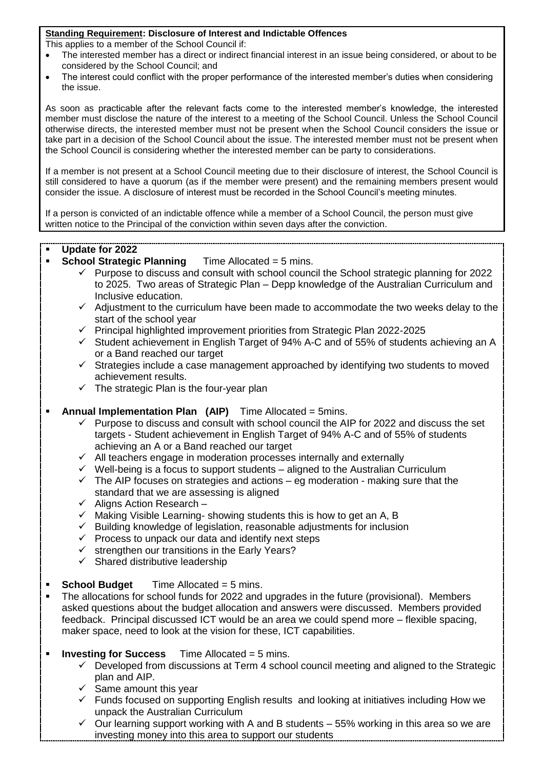#### **Standing Requirement: Disclosure of Interest and Indictable Offences**

This applies to a member of the School Council if:

- The interested member has a direct or indirect financial interest in an issue being considered, or about to be considered by the School Council; and
- The interest could conflict with the proper performance of the interested member's duties when considering the issue.

As soon as practicable after the relevant facts come to the interested member's knowledge, the interested member must disclose the nature of the interest to a meeting of the School Council. Unless the School Council otherwise directs, the interested member must not be present when the School Council considers the issue or take part in a decision of the School Council about the issue. The interested member must not be present when the School Council is considering whether the interested member can be party to considerations.

If a member is not present at a School Council meeting due to their disclosure of interest, the School Council is still considered to have a quorum (as if the member were present) and the remaining members present would consider the issue. A disclosure of interest must be recorded in the School Council's meeting minutes.

If a person is convicted of an indictable offence while a member of a School Council, the person must give written notice to the Principal of the conviction within seven days after the conviction.

- **Update for 2022**
- **School Strategic Planning Time Allocated = 5 mins.** 
	- $\checkmark$  Purpose to discuss and consult with school council the School strategic planning for 2022 to 2025. Two areas of Strategic Plan – Depp knowledge of the Australian Curriculum and Inclusive education.
	- $\checkmark$  Adjustment to the curriculum have been made to accommodate the two weeks delay to the start of the school year
	- ✓ Principal highlighted improvement priorities from Strategic Plan 2022-2025
	- $\checkmark$  Student achievement in English Target of 94% A-C and of 55% of students achieving an A or a Band reached our target
	- ✓ Strategies include a case management approached by identifying two students to moved achievement results.
	- $\checkmark$  The strategic Plan is the four-vear plan

#### **Annual Implementation Plan (AIP)** Time Allocated = 5mins.

- $\checkmark$  Purpose to discuss and consult with school council the AIP for 2022 and discuss the set targets - Student achievement in English Target of 94% A-C and of 55% of students achieving an A or a Band reached our target
- ✓ All teachers engage in moderation processes internally and externally
- $\checkmark$  Well-being is a focus to support students aligned to the Australian Curriculum
- $\checkmark$  The AIP focuses on strategies and actions eg moderation making sure that the standard that we are assessing is aligned
- $\checkmark$  Aligns Action Research –
- $\checkmark$  Making Visible Learning-showing students this is how to get an A, B
- ✓ Building knowledge of legislation, reasonable adjustments for inclusion
- $\checkmark$  Process to unpack our data and identify next steps
- $\checkmark$  strengthen our transitions in the Early Years?
- $\checkmark$  Shared distributive leadership
- **School Budget** Time Allocated = 5 mins.
- **•** The allocations for school funds for 2022 and upgrades in the future (provisional). Members asked questions about the budget allocation and answers were discussed. Members provided feedback. Principal discussed ICT would be an area we could spend more – flexible spacing, maker space, need to look at the vision for these, ICT capabilities.
- **Investing for Success** Time Allocated = 5 mins.
	- $\checkmark$  Developed from discussions at Term 4 school council meeting and aligned to the Strategic plan and AIP.
	- $\checkmark$  Same amount this year
	- ✓ Funds focused on supporting English results and looking at initiatives including How we unpack the Australian Curriculum
	- $\checkmark$  Our learning support working with A and B students 55% working in this area so we are investing money into this area to support our students